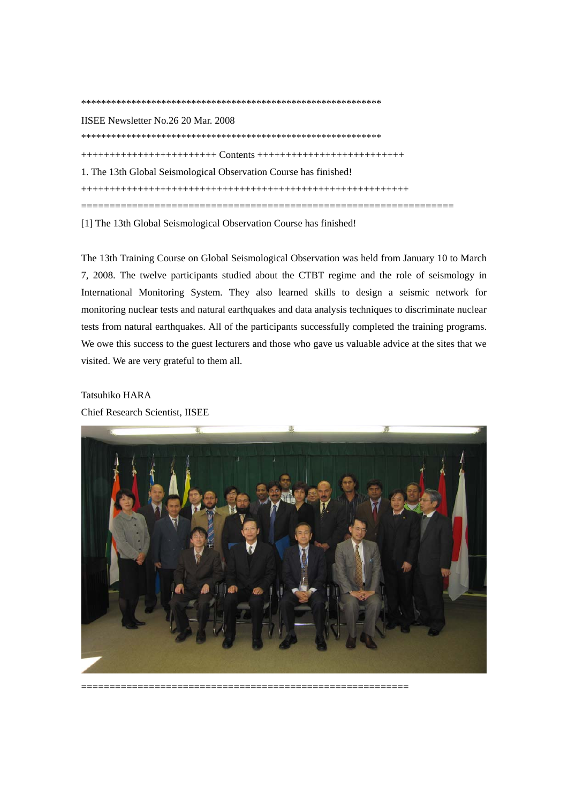IISEE Newsletter No.26 20 Mar. 2008 \*\*\*\*\*\*\*\*\*\*\*\*\*\*\*\*\*\*\*\*\*\*\*\*\*\*\*\*\*\*\*\*\*\*\*\*\*\*\*\*\*\*\*\*\*\*\*\*\*\*\*\*\*\*\*\*\*\*\*\* ++++++++++++++++++++++++ Contents ++++++++++++++++++++++++++ 1. The 13th Global Seismological Observation Course has finished! ++++++++++++++++++++++++++++++++++++++++++++++++++++++++++ ==================================================================

[1] The 13th Global Seismological Observation Course has finished!

\*\*\*\*\*\*\*\*\*\*\*\*\*\*\*\*\*\*\*\*\*\*\*\*\*\*\*\*\*\*\*\*\*\*\*\*\*\*\*\*\*\*\*\*\*\*\*\*\*\*\*\*\*\*\*\*\*\*\*\*

The 13th Training Course on Global Seismological Observation was held from January 10 to March 7, 2008. The twelve participants studied about the CTBT regime and the role of seismology in International Monitoring System. They also learned skills to design a seismic network for monitoring nuclear tests and natural earthquakes and data analysis techniques to discriminate nuclear tests from natural earthquakes. All of the participants successfully completed the training programs. We owe this success to the guest lecturers and those who gave us valuable advice at the sites that we visited. We are very grateful to them all.

## Tatsuhiko HARA

Chief Research Scientist, IISEE



==========================================================